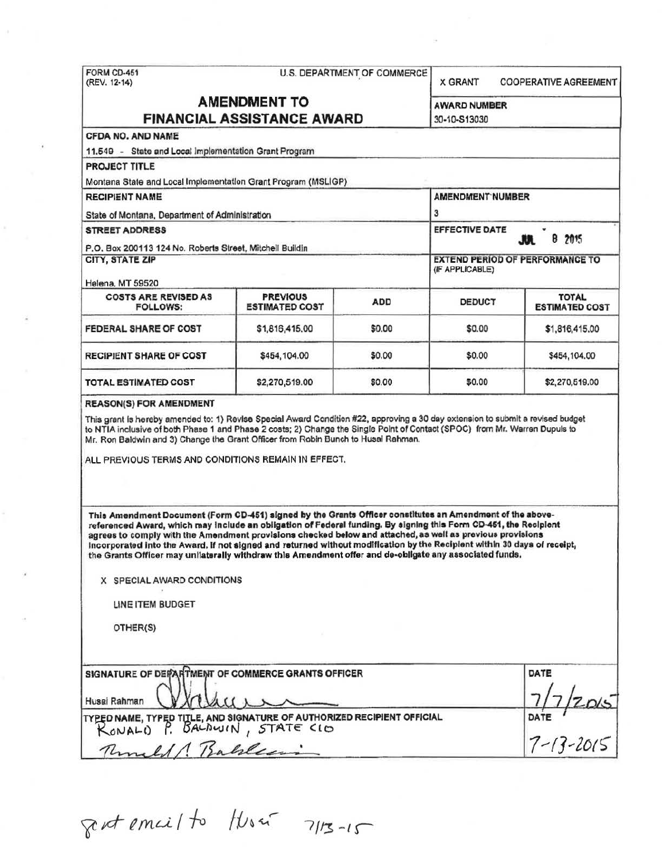|                                                                                                                                                                                                                                                                                                                                                                                                                                                                                                                                                                                                                                                        | FORM CD-451<br>U.S. DEPARTMENT OF COMMERCE<br>(REV. 12-14) |                                                           |                                               | <b>COOPERATIVE AGREEMENT</b>          |  |
|--------------------------------------------------------------------------------------------------------------------------------------------------------------------------------------------------------------------------------------------------------------------------------------------------------------------------------------------------------------------------------------------------------------------------------------------------------------------------------------------------------------------------------------------------------------------------------------------------------------------------------------------------------|------------------------------------------------------------|-----------------------------------------------------------|-----------------------------------------------|---------------------------------------|--|
| <b>AMENDMENT TO</b><br><b>FINANCIAL ASSISTANCE AWARD</b>                                                                                                                                                                                                                                                                                                                                                                                                                                                                                                                                                                                               |                                                            |                                                           | <b>AWARD NUMBER</b><br>30-10-S13030           |                                       |  |
| <b>CFDA NO. AND NAME</b>                                                                                                                                                                                                                                                                                                                                                                                                                                                                                                                                                                                                                               |                                                            |                                                           |                                               |                                       |  |
| 11.549 - State and Local Implementation Grant Program                                                                                                                                                                                                                                                                                                                                                                                                                                                                                                                                                                                                  |                                                            |                                                           |                                               |                                       |  |
| <b>PROJECT TITLE</b>                                                                                                                                                                                                                                                                                                                                                                                                                                                                                                                                                                                                                                   |                                                            |                                                           |                                               |                                       |  |
| Montana State and Local Implementation Grant Program (MSLIGP)                                                                                                                                                                                                                                                                                                                                                                                                                                                                                                                                                                                          |                                                            |                                                           |                                               |                                       |  |
| <b>RECIPIENT NAME</b>                                                                                                                                                                                                                                                                                                                                                                                                                                                                                                                                                                                                                                  |                                                            |                                                           | <b>AMENDMENT NUMBER</b>                       |                                       |  |
| State of Montana, Department of Administration                                                                                                                                                                                                                                                                                                                                                                                                                                                                                                                                                                                                         |                                                            | 3                                                         |                                               |                                       |  |
| <b>STREET ADDRESS</b>                                                                                                                                                                                                                                                                                                                                                                                                                                                                                                                                                                                                                                  |                                                            |                                                           | <b>EFFECTIVE DATE</b><br><b>JUL</b><br>8 2015 |                                       |  |
| P.O. Box 200113 124 No. Roberts Street, Mitchell Buildin                                                                                                                                                                                                                                                                                                                                                                                                                                                                                                                                                                                               |                                                            |                                                           |                                               |                                       |  |
| <b>CITY, STATE ZIP</b><br>Helena, MT 59520                                                                                                                                                                                                                                                                                                                                                                                                                                                                                                                                                                                                             |                                                            | <b>EXTEND PERIOD OF PERFORMANCE TO</b><br>(IF APPLICABLE) |                                               |                                       |  |
| <b>COSTS ARE REVISED AS</b><br><b>FOLLOWS:</b>                                                                                                                                                                                                                                                                                                                                                                                                                                                                                                                                                                                                         | <b>PREVIOUS</b><br><b>ESTIMATED COST</b>                   | <b>ADD</b>                                                | <b>DEDUCT</b>                                 | <b>TOTAL</b><br><b>ESTIMATED COST</b> |  |
| <b>FEDERAL SHARE OF COST</b>                                                                                                                                                                                                                                                                                                                                                                                                                                                                                                                                                                                                                           | \$1,816,415.00                                             | \$0.00                                                    | \$0.00                                        | \$1,816,415.00                        |  |
| <b>RECIPIENT SHARE OF COST</b>                                                                                                                                                                                                                                                                                                                                                                                                                                                                                                                                                                                                                         | \$454,104.00                                               | \$0.00                                                    | \$0.00                                        | \$454,104.00                          |  |
| TOTAL ESTIMATED COST                                                                                                                                                                                                                                                                                                                                                                                                                                                                                                                                                                                                                                   | \$2,270,519.00                                             | \$0.00                                                    | \$0.00                                        | \$2,270,519.00                        |  |
|                                                                                                                                                                                                                                                                                                                                                                                                                                                                                                                                                                                                                                                        |                                                            |                                                           |                                               |                                       |  |
| This grant is hereby amended to: 1) Revise Special Award Condition #22, approving a 30 day extension to submit a revised budget<br>to NTIA inclusive of both Phase 1 and Phase 2 costs; 2) Change the Single Point of Contact (SPOC) from Mr. Warren Dupuls to<br>Mr. Ron Baldwin and 3) Change the Grant Officer from Robin Bunch to Husai Rahman.<br>ALL PREVIOUS TERMS AND CONDITIONS REMAIN IN EFFECT.                                                                                                                                                                                                                                             |                                                            |                                                           |                                               |                                       |  |
| This Amendment Document (Form CD-451) signed by the Grants Officer constitutes an Amendment of the above-<br>referenced Award, which may include an obligation of Federal funding. By signing this Form CD-451, the Recipient<br>agrees to comply with the Amendment provisions checked below and attached, as well as previous provisions<br>Incorporated into the Award. If not signed and returned without modification by the Recipient within 30 days of receipt,<br>the Grants Officer may unilaterally withdraw this Amendment offer and de-obligate any associated funds.<br>X SPECIAL AWARD CONDITIONS<br><b>LINE ITEM BUDGET</b><br>OTHER(S) |                                                            |                                                           |                                               |                                       |  |
| SIGNATURE OF DEPARTMENT OF COMMERCE GRANTS OFFICER<br>Husai Rahman                                                                                                                                                                                                                                                                                                                                                                                                                                                                                                                                                                                     |                                                            |                                                           |                                               | <b>DATE</b>                           |  |
| TYPED NAME, TYPED TITLE, AND SIGNATURE OF AUTHORIZED RECIPIENT OFFICIAL<br>RONALD P. BALDWIN, STATE CIO                                                                                                                                                                                                                                                                                                                                                                                                                                                                                                                                                |                                                            |                                                           |                                               | DATE 72015                            |  |

 $844$  email to Husa 7/13-15